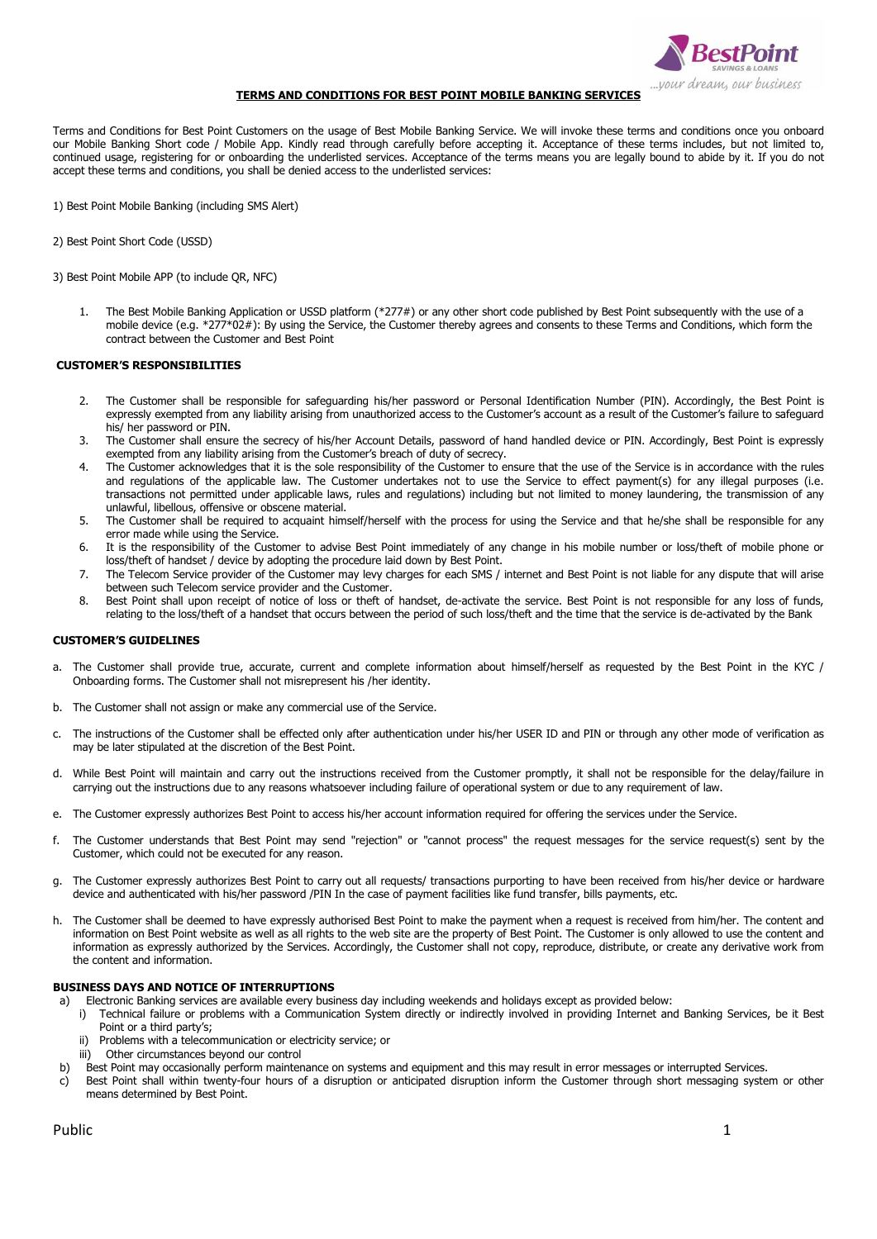

# **TERMS AND CONDITIONS FOR BEST POINT MOBILE BANKING SERVICES**

Terms and Conditions for Best Point Customers on the usage of Best Mobile Banking Service. We will invoke these terms and conditions once you onboard our Mobile Banking Short code / Mobile App. Kindly read through carefully before accepting it. Acceptance of these terms includes, but not limited to, continued usage, registering for or onboarding the underlisted services. Acceptance of the terms means you are legally bound to abide by it. If you do not accept these terms and conditions, you shall be denied access to the underlisted services:

1) Best Point Mobile Banking (including SMS Alert)

2) Best Point Short Code (USSD)

3) Best Point Mobile APP (to include QR, NFC)

1. The Best Mobile Banking Application or USSD platform (\*277#) or any other short code published by Best Point subsequently with the use of a mobile device (e.g. \*277\*02#): By using the Service, the Customer thereby agrees and consents to these Terms and Conditions, which form the contract between the Customer and Best Point

# **CUSTOMER'S RESPONSIBILITIES**

- 2. The Customer shall be responsible for safeguarding his/her password or Personal Identification Number (PIN). Accordingly, the Best Point is expressly exempted from any liability arising from unauthorized access to the Customer's account as a result of the Customer's failure to safeguard his/ her password or PIN.
- 3. The Customer shall ensure the secrecy of his/her Account Details, password of hand handled device or PIN. Accordingly, Best Point is expressly exempted from any liability arising from the Customer's breach of duty of secrecy.
- 4. The Customer acknowledges that it is the sole responsibility of the Customer to ensure that the use of the Service is in accordance with the rules and regulations of the applicable law. The Customer undertakes not to use the Service to effect payment(s) for any illegal purposes (i.e. transactions not permitted under applicable laws, rules and regulations) including but not limited to money laundering, the transmission of any unlawful, libellous, offensive or obscene material.
- 5. The Customer shall be required to acquaint himself/herself with the process for using the Service and that he/she shall be responsible for any error made while using the Service.
- 6. It is the responsibility of the Customer to advise Best Point immediately of any change in his mobile number or loss/theft of mobile phone or loss/theft of handset / device by adopting the procedure laid down by Best Point.
- 7. The Telecom Service provider of the Customer may levy charges for each SMS / internet and Best Point is not liable for any dispute that will arise between such Telecom service provider and the Customer.
- 8. Best Point shall upon receipt of notice of loss or theft of handset, de-activate the service. Best Point is not responsible for any loss of funds, relating to the loss/theft of a handset that occurs between the period of such loss/theft and the time that the service is de-activated by the Bank

#### **CUSTOMER'S GUIDELINES**

- The Customer shall provide true, accurate, current and complete information about himself/herself as requested by the Best Point in the KYC / Onboarding forms. The Customer shall not misrepresent his /her identity.
- b. The Customer shall not assign or make any commercial use of the Service.
- c. The instructions of the Customer shall be effected only after authentication under his/her USER ID and PIN or through any other mode of verification as may be later stipulated at the discretion of the Best Point.
- d. While Best Point will maintain and carry out the instructions received from the Customer promptly, it shall not be responsible for the delay/failure in carrying out the instructions due to any reasons whatsoever including failure of operational system or due to any requirement of law.
- e. The Customer expressly authorizes Best Point to access his/her account information required for offering the services under the Service.
- f. The Customer understands that Best Point may send "rejection" or "cannot process" the request messages for the service request(s) sent by the Customer, which could not be executed for any reason.
- g. The Customer expressly authorizes Best Point to carry out all requests/ transactions purporting to have been received from his/her device or hardware device and authenticated with his/her password /PIN In the case of payment facilities like fund transfer, bills payments, etc.
- The Customer shall be deemed to have expressly authorised Best Point to make the payment when a request is received from him/her. The content and information on Best Point website as well as all rights to the web site are the property of Best Point. The Customer is only allowed to use the content and information as expressly authorized by the Services. Accordingly, the Customer shall not copy, reproduce, distribute, or create any derivative work from the content and information.

## **BUSINESS DAYS AND NOTICE OF INTERRUPTIONS**

- a) Electronic Banking services are available every business day including weekends and holidays except as provided below:
	- i) Technical failure or problems with a Communication System directly or indirectly involved in providing Internet and Banking Services, be it Best Point or a third party's;
	- ii) Problems with a telecommunication or electricity service; or
	- iii) Other circumstances beyond our control
- b) Best Point may occasionally perform maintenance on systems and equipment and this may result in error messages or interrupted Services.
- c) Best Point shall within twenty-four hours of a disruption or anticipated disruption inform the Customer through short messaging system or other means determined by Best Point.